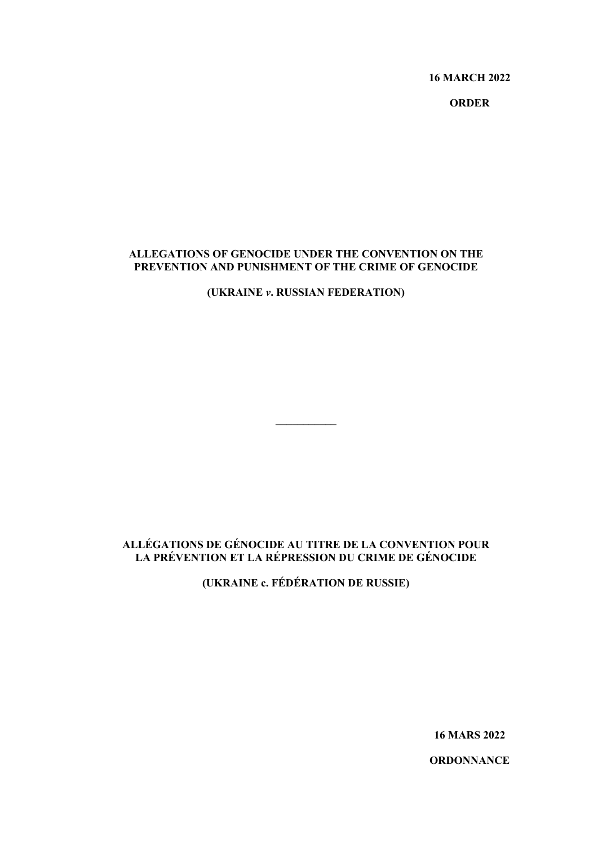**16 MARCH 2022**

**ORDER**

## **ALLEGATIONS OF GENOCIDE UNDER THE CONVENTION ON THE PREVENTION AND PUNISHMENT OF THE CRIME OF GENOCIDE**

**(UKRAINE** *v***. RUSSIAN FEDERATION)**

 $\frac{1}{2}$ 

# **ALLÉGATIONS DE GÉNOCIDE AU TITRE DE LA CONVENTION POUR LA PRÉVENTION ET LA RÉPRESSION DU CRIME DE GÉNOCIDE**

**(UKRAINE c. FÉDÉRATION DE RUSSIE)**

**16 MARS 2022**

**ORDONNANCE**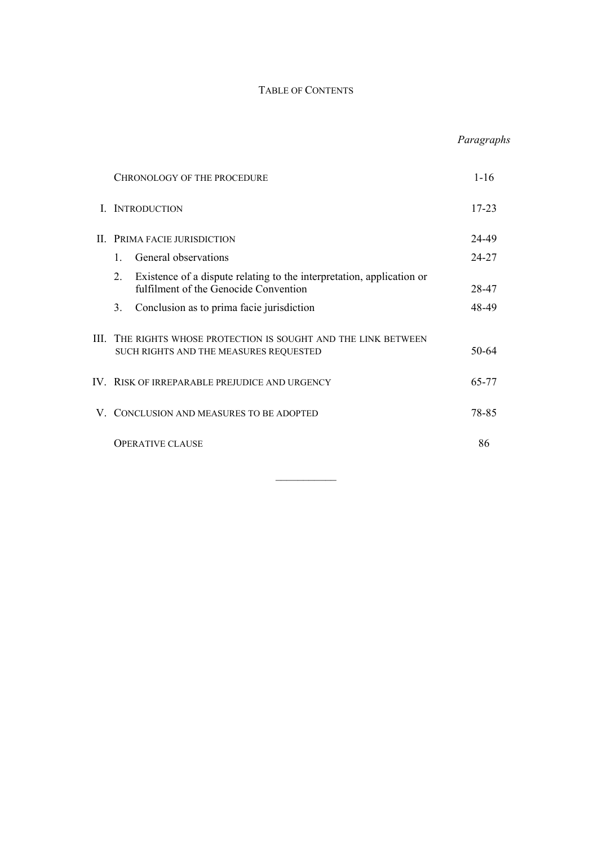# TABLE OF CONTENTS

# *Paragraphs*

|      | <b>CHRONOLOGY OF THE PROCEDURE</b>                                                                                   | $1 - 16$  |
|------|----------------------------------------------------------------------------------------------------------------------|-----------|
|      | <b>INTRODUCTION</b>                                                                                                  | $17 - 23$ |
|      | II. PRIMA FACIE JURISDICTION                                                                                         | 24-49     |
|      | General observations<br>1                                                                                            | 24-27     |
|      | Existence of a dispute relating to the interpretation, application or<br>2.<br>fulfilment of the Genocide Convention | 28-47     |
|      | Conclusion as to prima facie jurisdiction<br>3.                                                                      | 48-49     |
| III. | THE RIGHTS WHOSE PROTECTION IS SOUGHT AND THE LINK BETWEEN<br>SUCH RIGHTS AND THE MEASURES REQUESTED                 | $50-64$   |
|      | IV. RISK OF IRREPARABLE PREJUDICE AND URGENCY                                                                        | 65-77     |
|      | V. CONCLUSION AND MEASURES TO BE ADOPTED                                                                             | 78-85     |
|      | <b>OPERATIVE CLAUSE</b>                                                                                              | 86        |
|      |                                                                                                                      |           |

 $\frac{1}{2}$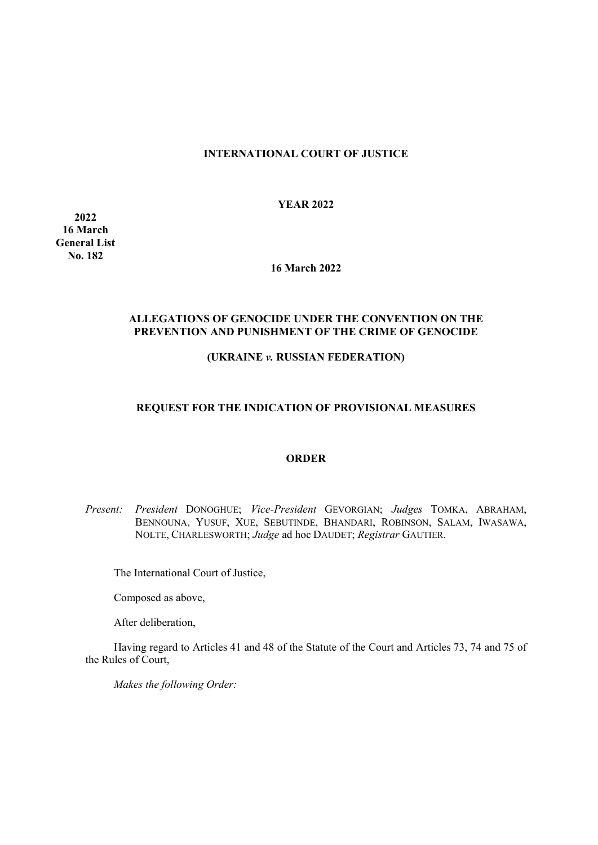# **INTERNATIONAL COURT OF JUSTICE**

**YEAR 2022**

**2022 16 March General List No. 182**

#### **16 March 2022**

### **ALLEGATIONS OF GENOCIDE UNDER THE CONVENTION ON THE PREVENTION AND PUNISHMENT OF THE CRIME OF GENOCIDE**

### **(UKRAINE** *v.* **RUSSIAN FEDERATION)**

### **REQUEST FOR THE INDICATION OF PROVISIONAL MEASURES**

### **ORDER**

*Present: President* DONOGHUE; *Vice-President* GEVORGIAN; *Judges* TOMKA, ABRAHAM, BENNOUNA, YUSUF, XUE, SEBUTINDE, BHANDARI, ROBINSON, SALAM, IWASAWA, NOLTE, CHARLESWORTH; *Judge* ad hoc DAUDET; *Registrar* GAUTIER.

The International Court of Justice,

Composed as above,

After deliberation,

Having regard to Articles 41 and 48 of the Statute of the Court and Articles 73, 74 and 75 of the Rules of Court,

*Makes the following Order:*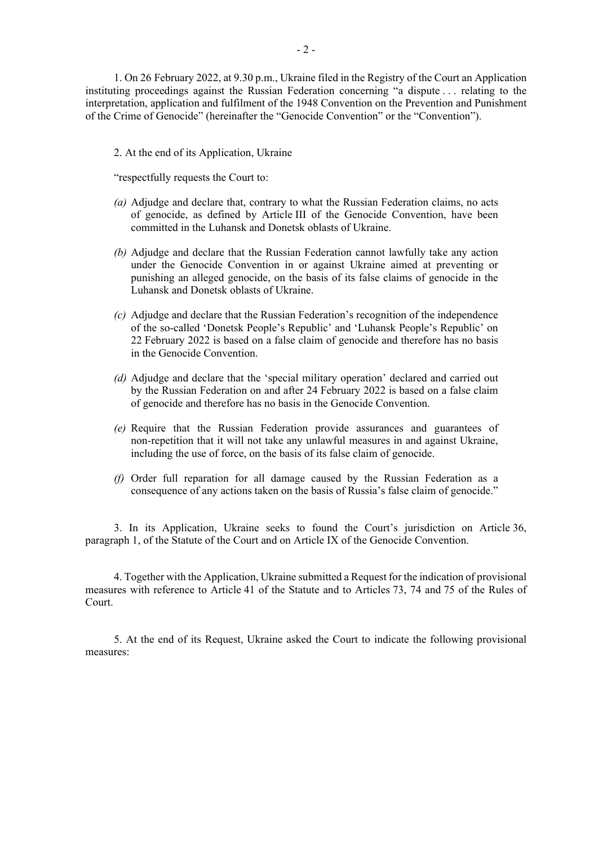1. On 26 February 2022, at 9.30 p.m., Ukraine filed in the Registry of the Court an Application instituting proceedings against the Russian Federation concerning "a dispute . . . relating to the interpretation, application and fulfilment of the 1948 Convention on the Prevention and Punishment of the Crime of Genocide" (hereinafter the "Genocide Convention" or the "Convention").

2. At the end of its Application, Ukraine

"respectfully requests the Court to:

- *(a)* Adjudge and declare that, contrary to what the Russian Federation claims, no acts of genocide, as defined by Article III of the Genocide Convention, have been committed in the Luhansk and Donetsk oblasts of Ukraine.
- *(b)* Adjudge and declare that the Russian Federation cannot lawfully take any action under the Genocide Convention in or against Ukraine aimed at preventing or punishing an alleged genocide, on the basis of its false claims of genocide in the Luhansk and Donetsk oblasts of Ukraine.
- *(c)* Adjudge and declare that the Russian Federation's recognition of the independence of the so-called 'Donetsk People's Republic' and 'Luhansk People's Republic' on 22 February 2022 is based on a false claim of genocide and therefore has no basis in the Genocide Convention.
- *(d)* Adjudge and declare that the 'special military operation' declared and carried out by the Russian Federation on and after 24 February 2022 is based on a false claim of genocide and therefore has no basis in the Genocide Convention.
- *(e)* Require that the Russian Federation provide assurances and guarantees of non-repetition that it will not take any unlawful measures in and against Ukraine, including the use of force, on the basis of its false claim of genocide.
- *(f)* Order full reparation for all damage caused by the Russian Federation as a consequence of any actions taken on the basis of Russia's false claim of genocide."

3. In its Application, Ukraine seeks to found the Court's jurisdiction on Article 36, paragraph 1, of the Statute of the Court and on Article IX of the Genocide Convention.

4. Together with the Application, Ukraine submitted a Request for the indication of provisional measures with reference to Article 41 of the Statute and to Articles 73, 74 and 75 of the Rules of Court.

5. At the end of its Request, Ukraine asked the Court to indicate the following provisional measures: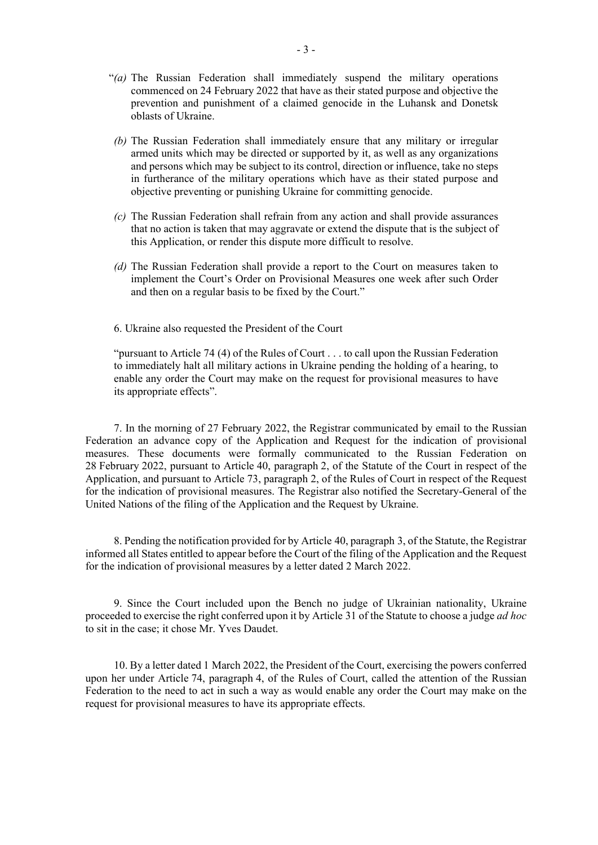- "*(a)* The Russian Federation shall immediately suspend the military operations commenced on 24 February 2022 that have as their stated purpose and objective the prevention and punishment of a claimed genocide in the Luhansk and Donetsk oblasts of Ukraine.
- *(b)* The Russian Federation shall immediately ensure that any military or irregular armed units which may be directed or supported by it, as well as any organizations and persons which may be subject to its control, direction or influence, take no steps in furtherance of the military operations which have as their stated purpose and objective preventing or punishing Ukraine for committing genocide.
- *(c)* The Russian Federation shall refrain from any action and shall provide assurances that no action is taken that may aggravate or extend the dispute that is the subject of this Application, or render this dispute more difficult to resolve.
- *(d)* The Russian Federation shall provide a report to the Court on measures taken to implement the Court's Order on Provisional Measures one week after such Order and then on a regular basis to be fixed by the Court."
- 6. Ukraine also requested the President of the Court

"pursuant to Article 74 (4) of the Rules of Court . . . to call upon the Russian Federation to immediately halt all military actions in Ukraine pending the holding of a hearing, to enable any order the Court may make on the request for provisional measures to have its appropriate effects".

7. In the morning of 27 February 2022, the Registrar communicated by email to the Russian Federation an advance copy of the Application and Request for the indication of provisional measures. These documents were formally communicated to the Russian Federation on 28 February 2022, pursuant to Article 40, paragraph 2, of the Statute of the Court in respect of the Application, and pursuant to Article 73, paragraph 2, of the Rules of Court in respect of the Request for the indication of provisional measures. The Registrar also notified the Secretary-General of the United Nations of the filing of the Application and the Request by Ukraine.

8. Pending the notification provided for by Article 40, paragraph 3, of the Statute, the Registrar informed all States entitled to appear before the Court of the filing of the Application and the Request for the indication of provisional measures by a letter dated 2 March 2022.

9. Since the Court included upon the Bench no judge of Ukrainian nationality, Ukraine proceeded to exercise the right conferred upon it by Article 31 of the Statute to choose a judge *ad hoc* to sit in the case; it chose Mr. Yves Daudet.

10. By a letter dated 1 March 2022, the President of the Court, exercising the powers conferred upon her under Article 74, paragraph 4, of the Rules of Court, called the attention of the Russian Federation to the need to act in such a way as would enable any order the Court may make on the request for provisional measures to have its appropriate effects.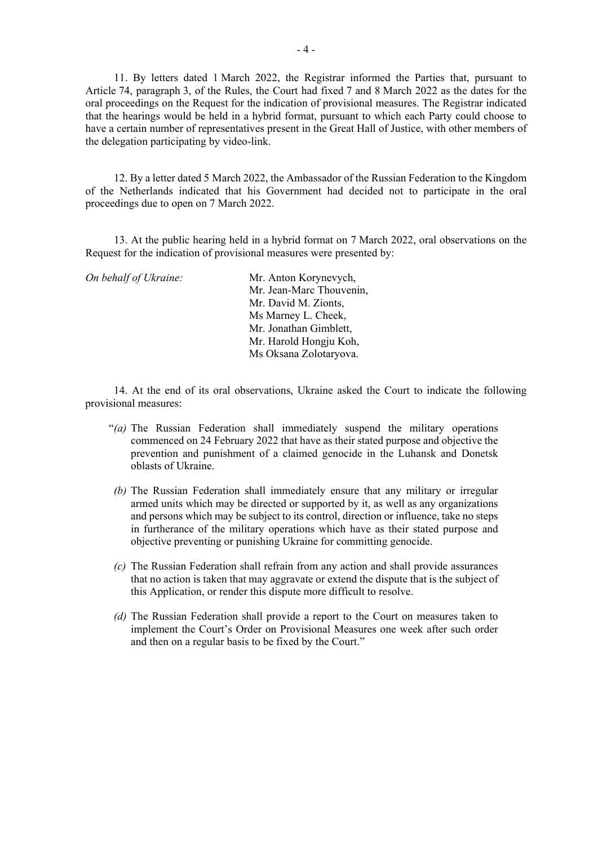11. By letters dated 1 March 2022, the Registrar informed the Parties that, pursuant to Article 74, paragraph 3, of the Rules, the Court had fixed 7 and 8 March 2022 as the dates for the oral proceedings on the Request for the indication of provisional measures. The Registrar indicated that the hearings would be held in a hybrid format, pursuant to which each Party could choose to have a certain number of representatives present in the Great Hall of Justice, with other members of the delegation participating by video-link.

12. By a letter dated 5 March 2022, the Ambassador of the Russian Federation to the Kingdom of the Netherlands indicated that his Government had decided not to participate in the oral proceedings due to open on 7 March 2022.

13. At the public hearing held in a hybrid format on 7 March 2022, oral observations on the Request for the indication of provisional measures were presented by:

| On behalf of Ukraine: | Mr. Anton Korynevych,    |
|-----------------------|--------------------------|
|                       | Mr. Jean-Marc Thouvenin, |
|                       | Mr. David M. Zionts,     |
|                       | Ms Marney L. Cheek,      |
|                       | Mr. Jonathan Gimblett,   |
|                       | Mr. Harold Hongju Koh,   |
|                       | Ms Oksana Zolotaryova.   |

14. At the end of its oral observations, Ukraine asked the Court to indicate the following provisional measures:

- "*(a)* The Russian Federation shall immediately suspend the military operations commenced on 24 February 2022 that have as their stated purpose and objective the prevention and punishment of a claimed genocide in the Luhansk and Donetsk oblasts of Ukraine.
	- *(b)* The Russian Federation shall immediately ensure that any military or irregular armed units which may be directed or supported by it, as well as any organizations and persons which may be subject to its control, direction or influence, take no steps in furtherance of the military operations which have as their stated purpose and objective preventing or punishing Ukraine for committing genocide.
	- *(c)* The Russian Federation shall refrain from any action and shall provide assurances that no action is taken that may aggravate or extend the dispute that is the subject of this Application, or render this dispute more difficult to resolve.
	- *(d)* The Russian Federation shall provide a report to the Court on measures taken to implement the Court's Order on Provisional Measures one week after such order and then on a regular basis to be fixed by the Court."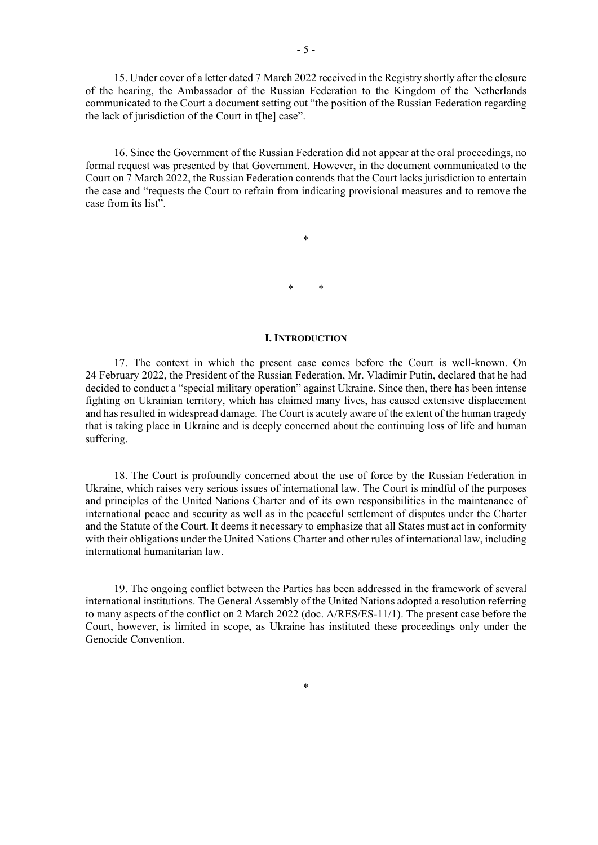15. Under cover of a letter dated 7 March 2022 received in the Registry shortly after the closure of the hearing, the Ambassador of the Russian Federation to the Kingdom of the Netherlands communicated to the Court a document setting out "the position of the Russian Federation regarding the lack of jurisdiction of the Court in t[he] case".

16. Since the Government of the Russian Federation did not appear at the oral proceedings, no formal request was presented by that Government. However, in the document communicated to the Court on 7 March 2022, the Russian Federation contends that the Court lacks jurisdiction to entertain the case and "requests the Court to refrain from indicating provisional measures and to remove the case from its list".

\* \*

\*

#### **I. INTRODUCTION**

17. The context in which the present case comes before the Court is well-known. On 24 February 2022, the President of the Russian Federation, Mr. Vladimir Putin, declared that he had decided to conduct a "special military operation" against Ukraine. Since then, there has been intense fighting on Ukrainian territory, which has claimed many lives, has caused extensive displacement and has resulted in widespread damage. The Court is acutely aware of the extent of the human tragedy that is taking place in Ukraine and is deeply concerned about the continuing loss of life and human suffering.

18. The Court is profoundly concerned about the use of force by the Russian Federation in Ukraine, which raises very serious issues of international law. The Court is mindful of the purposes and principles of the United Nations Charter and of its own responsibilities in the maintenance of international peace and security as well as in the peaceful settlement of disputes under the Charter and the Statute of the Court. It deems it necessary to emphasize that all States must act in conformity with their obligations under the United Nations Charter and other rules of international law, including international humanitarian law.

19. The ongoing conflict between the Parties has been addressed in the framework of several international institutions. The General Assembly of the United Nations adopted a resolution referring to many aspects of the conflict on 2 March 2022 (doc. A/RES/ES-11/1). The present case before the Court, however, is limited in scope, as Ukraine has instituted these proceedings only under the Genocide Convention.

\*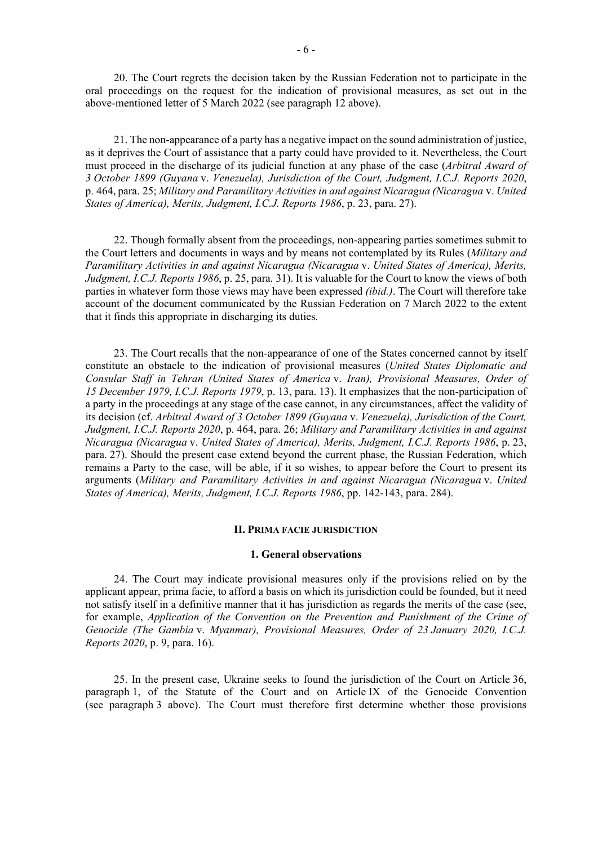- 6 -

20. The Court regrets the decision taken by the Russian Federation not to participate in the oral proceedings on the request for the indication of provisional measures, as set out in the above-mentioned letter of 5 March 2022 (see paragraph 12 above).

21. The non-appearance of a party has a negative impact on the sound administration of justice, as it deprives the Court of assistance that a party could have provided to it. Nevertheless, the Court must proceed in the discharge of its judicial function at any phase of the case (*Arbitral Award of 3 October 1899 (Guyana* v. *Venezuela), Jurisdiction of the Court, Judgment, I.C.J. Reports 2020*, p. 464, para. 25; *Military and Paramilitary Activities in and against Nicaragua (Nicaragua* v. *United States of America), Merits, Judgment, I.C.J. Reports 1986*, p. 23, para. 27).

22. Though formally absent from the proceedings, non-appearing parties sometimes submit to the Court letters and documents in ways and by means not contemplated by its Rules (*Military and Paramilitary Activities in and against Nicaragua (Nicaragua* v. *United States of America), Merits, Judgment, I.C.J. Reports 1986*, p. 25, para. 31). It is valuable for the Court to know the views of both parties in whatever form those views may have been expressed *(ibid.)*. The Court will therefore take account of the document communicated by the Russian Federation on 7 March 2022 to the extent that it finds this appropriate in discharging its duties.

23. The Court recalls that the non-appearance of one of the States concerned cannot by itself constitute an obstacle to the indication of provisional measures (*United States Diplomatic and Consular Staff in Tehran (United States of America* v. *Iran), Provisional Measures, Order of 15 December 1979, I.C.J. Reports 1979*, p. 13, para. 13). It emphasizes that the non-participation of a party in the proceedings at any stage of the case cannot, in any circumstances, affect the validity of its decision (cf. *Arbitral Award of 3 October 1899 (Guyana* v. *Venezuela), Jurisdiction of the Court, Judgment, I.C.J. Reports 2020*, p. 464, para. 26; *Military and Paramilitary Activities in and against Nicaragua (Nicaragua* v. *United States of America), Merits, Judgment, I.C.J. Reports 1986*, p. 23, para. 27). Should the present case extend beyond the current phase, the Russian Federation, which remains a Party to the case, will be able, if it so wishes, to appear before the Court to present its arguments (*Military and Paramilitary Activities in and against Nicaragua (Nicaragua* v. *United States of America), Merits, Judgment, I.C.J. Reports 1986*, pp. 142-143, para. 284).

#### **II. PRIMA FACIE JURISDICTION**

#### **1. General observations**

24. The Court may indicate provisional measures only if the provisions relied on by the applicant appear, prima facie, to afford a basis on which its jurisdiction could be founded, but it need not satisfy itself in a definitive manner that it has jurisdiction as regards the merits of the case (see, for example, *Application of the Convention on the Prevention and Punishment of the Crime of Genocide (The Gambia* v. *Myanmar), Provisional Measures, Order of 23 January 2020, I.C.J. Reports 2020*, p. 9, para. 16).

25. In the present case, Ukraine seeks to found the jurisdiction of the Court on Article 36, paragraph 1, of the Statute of the Court and on Article IX of the Genocide Convention (see paragraph 3 above). The Court must therefore first determine whether those provisions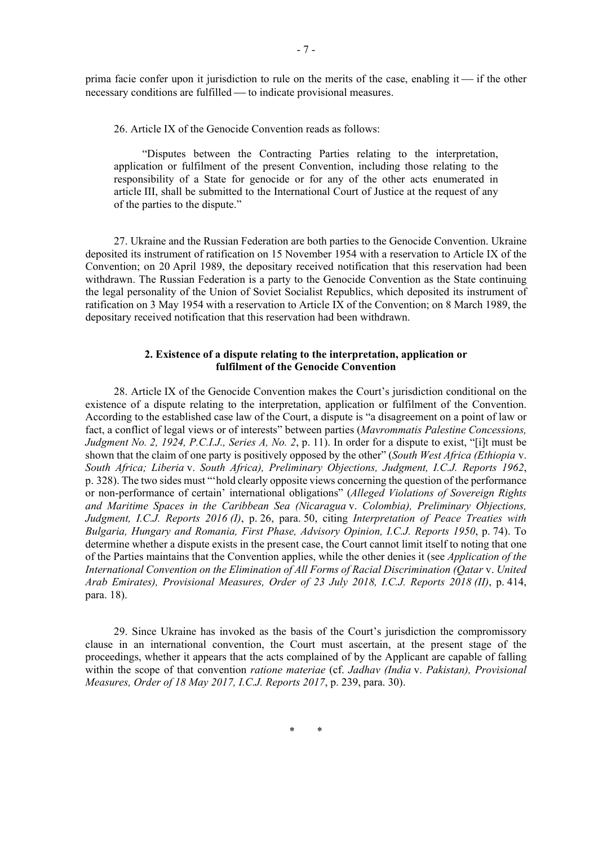prima facie confer upon it jurisdiction to rule on the merits of the case, enabling it  $\frac{d}{dt}$  if the other necessary conditions are fulfilled — to indicate provisional measures.

26. Article IX of the Genocide Convention reads as follows:

"Disputes between the Contracting Parties relating to the interpretation, application or fulfilment of the present Convention, including those relating to the responsibility of a State for genocide or for any of the other acts enumerated in article III, shall be submitted to the International Court of Justice at the request of any of the parties to the dispute."

27. Ukraine and the Russian Federation are both parties to the Genocide Convention. Ukraine deposited its instrument of ratification on 15 November 1954 with a reservation to Article IX of the Convention; on 20 April 1989, the depositary received notification that this reservation had been withdrawn. The Russian Federation is a party to the Genocide Convention as the State continuing the legal personality of the Union of Soviet Socialist Republics, which deposited its instrument of ratification on 3 May 1954 with a reservation to Article IX of the Convention; on 8 March 1989, the depositary received notification that this reservation had been withdrawn.

#### **2. Existence of a dispute relating to the interpretation, application or fulfilment of the Genocide Convention**

28. Article IX of the Genocide Convention makes the Court's jurisdiction conditional on the existence of a dispute relating to the interpretation, application or fulfilment of the Convention. According to the established case law of the Court, a dispute is "a disagreement on a point of law or fact, a conflict of legal views or of interests" between parties (*Mavrommatis Palestine Concessions, Judgment No. 2, 1924, P.C.I.J., Series A, No. 2*, p. 11). In order for a dispute to exist, "[i]t must be shown that the claim of one party is positively opposed by the other" (*South West Africa (Ethiopia* v. *South Africa; Liberia* v. *South Africa), Preliminary Objections, Judgment, I.C.J. Reports 1962*, p. 328). The two sides must "'hold clearly opposite views concerning the question of the performance or non-performance of certain' international obligations" (*Alleged Violations of Sovereign Rights and Maritime Spaces in the Caribbean Sea (Nicaragua* v. *Colombia), Preliminary Objections, Judgment, I.C.J. Reports 2016 (I)*, p. 26, para. 50, citing *Interpretation of Peace Treaties with Bulgaria, Hungary and Romania, First Phase, Advisory Opinion, I.C.J. Reports 1950*, p. 74). To determine whether a dispute exists in the present case, the Court cannot limit itself to noting that one of the Parties maintains that the Convention applies, while the other denies it (see *Application of the International Convention on the Elimination of All Forms of Racial Discrimination (Qatar* v. *United Arab Emirates), Provisional Measures, Order of 23 July 2018, I.C.J. Reports 2018 (II)*, p. 414, para. 18).

29. Since Ukraine has invoked as the basis of the Court's jurisdiction the compromissory clause in an international convention, the Court must ascertain, at the present stage of the proceedings, whether it appears that the acts complained of by the Applicant are capable of falling within the scope of that convention *ratione materiae* (cf. *Jadhav (India* v. *Pakistan), Provisional Measures, Order of 18 May 2017, I.C.J. Reports 2017*, p. 239, para. 30).

\* \*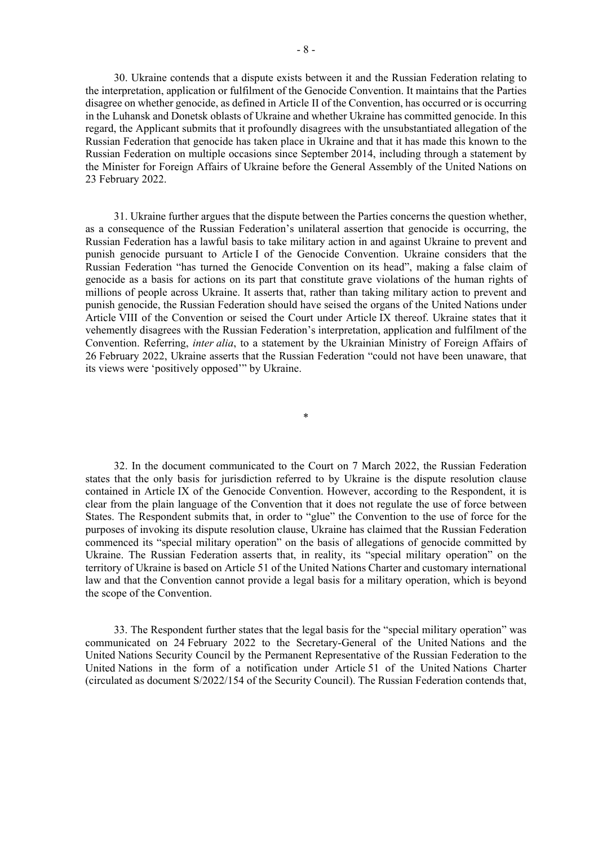30. Ukraine contends that a dispute exists between it and the Russian Federation relating to the interpretation, application or fulfilment of the Genocide Convention. It maintains that the Parties disagree on whether genocide, as defined in Article II of the Convention, has occurred or is occurring in the Luhansk and Donetsk oblasts of Ukraine and whether Ukraine has committed genocide. In this regard, the Applicant submits that it profoundly disagrees with the unsubstantiated allegation of the Russian Federation that genocide has taken place in Ukraine and that it has made this known to the Russian Federation on multiple occasions since September 2014, including through a statement by the Minister for Foreign Affairs of Ukraine before the General Assembly of the United Nations on 23 February 2022.

31. Ukraine further argues that the dispute between the Parties concerns the question whether, as a consequence of the Russian Federation's unilateral assertion that genocide is occurring, the Russian Federation has a lawful basis to take military action in and against Ukraine to prevent and punish genocide pursuant to Article I of the Genocide Convention. Ukraine considers that the Russian Federation "has turned the Genocide Convention on its head", making a false claim of genocide as a basis for actions on its part that constitute grave violations of the human rights of millions of people across Ukraine. It asserts that, rather than taking military action to prevent and punish genocide, the Russian Federation should have seised the organs of the United Nations under Article VIII of the Convention or seised the Court under Article IX thereof. Ukraine states that it vehemently disagrees with the Russian Federation's interpretation, application and fulfilment of the Convention. Referring, *inter alia*, to a statement by the Ukrainian Ministry of Foreign Affairs of 26 February 2022, Ukraine asserts that the Russian Federation "could not have been unaware, that its views were 'positively opposed'" by Ukraine.

\*

32. In the document communicated to the Court on 7 March 2022, the Russian Federation states that the only basis for jurisdiction referred to by Ukraine is the dispute resolution clause contained in Article IX of the Genocide Convention. However, according to the Respondent, it is clear from the plain language of the Convention that it does not regulate the use of force between States. The Respondent submits that, in order to "glue" the Convention to the use of force for the purposes of invoking its dispute resolution clause, Ukraine has claimed that the Russian Federation commenced its "special military operation" on the basis of allegations of genocide committed by Ukraine. The Russian Federation asserts that, in reality, its "special military operation" on the territory of Ukraine is based on Article 51 of the United Nations Charter and customary international law and that the Convention cannot provide a legal basis for a military operation, which is beyond the scope of the Convention.

33. The Respondent further states that the legal basis for the "special military operation" was communicated on 24 February 2022 to the Secretary-General of the United Nations and the United Nations Security Council by the Permanent Representative of the Russian Federation to the United Nations in the form of a notification under Article 51 of the United Nations Charter (circulated as document S/2022/154 of the Security Council). The Russian Federation contends that,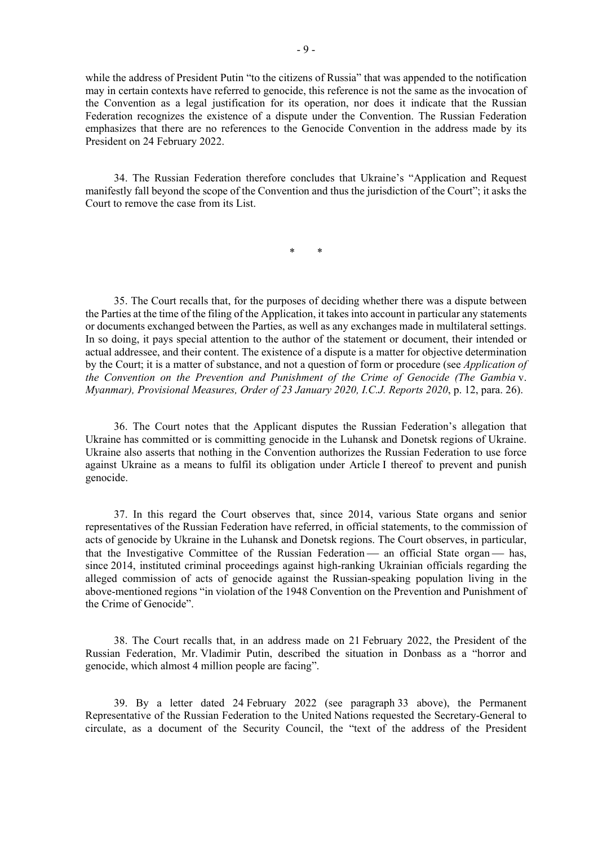while the address of President Putin "to the citizens of Russia" that was appended to the notification may in certain contexts have referred to genocide, this reference is not the same as the invocation of the Convention as a legal justification for its operation, nor does it indicate that the Russian Federation recognizes the existence of a dispute under the Convention. The Russian Federation emphasizes that there are no references to the Genocide Convention in the address made by its President on 24 February 2022.

34. The Russian Federation therefore concludes that Ukraine's "Application and Request manifestly fall beyond the scope of the Convention and thus the jurisdiction of the Court"; it asks the Court to remove the case from its List.

\* \*

35. The Court recalls that, for the purposes of deciding whether there was a dispute between the Parties at the time of the filing of the Application, it takes into account in particular any statements or documents exchanged between the Parties, as well as any exchanges made in multilateral settings. In so doing, it pays special attention to the author of the statement or document, their intended or actual addressee, and their content. The existence of a dispute is a matter for objective determination by the Court; it is a matter of substance, and not a question of form or procedure (see *Application of the Convention on the Prevention and Punishment of the Crime of Genocide (The Gambia* v. *Myanmar), Provisional Measures, Order of 23 January 2020, I.C.J. Reports 2020*, p. 12, para. 26).

36. The Court notes that the Applicant disputes the Russian Federation's allegation that Ukraine has committed or is committing genocide in the Luhansk and Donetsk regions of Ukraine. Ukraine also asserts that nothing in the Convention authorizes the Russian Federation to use force against Ukraine as a means to fulfil its obligation under Article I thereof to prevent and punish genocide.

37. In this regard the Court observes that, since 2014, various State organs and senior representatives of the Russian Federation have referred, in official statements, to the commission of acts of genocide by Ukraine in the Luhansk and Donetsk regions. The Court observes, in particular, that the Investigative Committee of the Russian Federation — an official State organ — has, since 2014, instituted criminal proceedings against high-ranking Ukrainian officials regarding the alleged commission of acts of genocide against the Russian-speaking population living in the above-mentioned regions "in violation of the 1948 Convention on the Prevention and Punishment of the Crime of Genocide".

38. The Court recalls that, in an address made on 21 February 2022, the President of the Russian Federation, Mr. Vladimir Putin, described the situation in Donbass as a "horror and genocide, which almost 4 million people are facing".

39. By a letter dated 24 February 2022 (see paragraph 33 above), the Permanent Representative of the Russian Federation to the United Nations requested the Secretary-General to circulate, as a document of the Security Council, the "text of the address of the President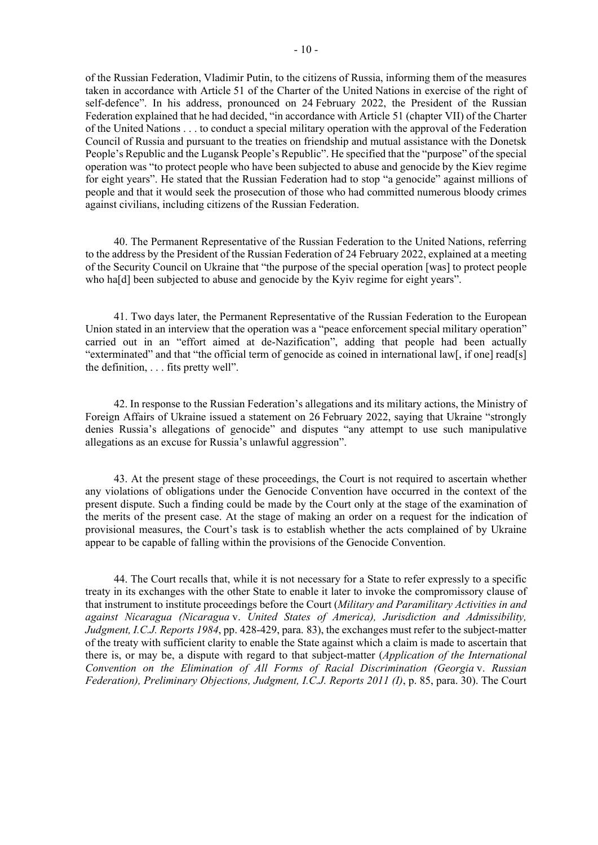of the Russian Federation, Vladimir Putin, to the citizens of Russia, informing them of the measures taken in accordance with Article 51 of the Charter of the United Nations in exercise of the right of self-defence". In his address, pronounced on 24 February 2022, the President of the Russian Federation explained that he had decided, "in accordance with Article 51 (chapter VII) of the Charter of the United Nations . . . to conduct a special military operation with the approval of the Federation Council of Russia and pursuant to the treaties on friendship and mutual assistance with the Donetsk People's Republic and the Lugansk People's Republic". He specified that the "purpose" of the special operation was "to protect people who have been subjected to abuse and genocide by the Kiev regime for eight years". He stated that the Russian Federation had to stop "a genocide" against millions of people and that it would seek the prosecution of those who had committed numerous bloody crimes against civilians, including citizens of the Russian Federation.

40. The Permanent Representative of the Russian Federation to the United Nations, referring to the address by the President of the Russian Federation of 24 February 2022, explained at a meeting of the Security Council on Ukraine that "the purpose of the special operation [was] to protect people who ha<sup>[d]</sup> been subjected to abuse and genocide by the Kyiv regime for eight years".

41. Two days later, the Permanent Representative of the Russian Federation to the European Union stated in an interview that the operation was a "peace enforcement special military operation" carried out in an "effort aimed at de-Nazification", adding that people had been actually "exterminated" and that "the official term of genocide as coined in international law[, if one] read[s] the definition, . . . fits pretty well".

42. In response to the Russian Federation's allegations and its military actions, the Ministry of Foreign Affairs of Ukraine issued a statement on 26 February 2022, saying that Ukraine "strongly denies Russia's allegations of genocide" and disputes "any attempt to use such manipulative allegations as an excuse for Russia's unlawful aggression".

43. At the present stage of these proceedings, the Court is not required to ascertain whether any violations of obligations under the Genocide Convention have occurred in the context of the present dispute. Such a finding could be made by the Court only at the stage of the examination of the merits of the present case. At the stage of making an order on a request for the indication of provisional measures, the Court's task is to establish whether the acts complained of by Ukraine appear to be capable of falling within the provisions of the Genocide Convention.

44. The Court recalls that, while it is not necessary for a State to refer expressly to a specific treaty in its exchanges with the other State to enable it later to invoke the compromissory clause of that instrument to institute proceedings before the Court (*Military and Paramilitary Activities in and against Nicaragua (Nicaragua* v. *United States of America), Jurisdiction and Admissibility, Judgment, I.C.J. Reports 1984*, pp. 428-429, para. 83), the exchanges must refer to the subject-matter of the treaty with sufficient clarity to enable the State against which a claim is made to ascertain that there is, or may be, a dispute with regard to that subject-matter (*Application of the International Convention on the Elimination of All Forms of Racial Discrimination (Georgia* v. *Russian Federation), Preliminary Objections, Judgment, I.C.J. Reports 2011 (I)*, p. 85, para. 30). The Court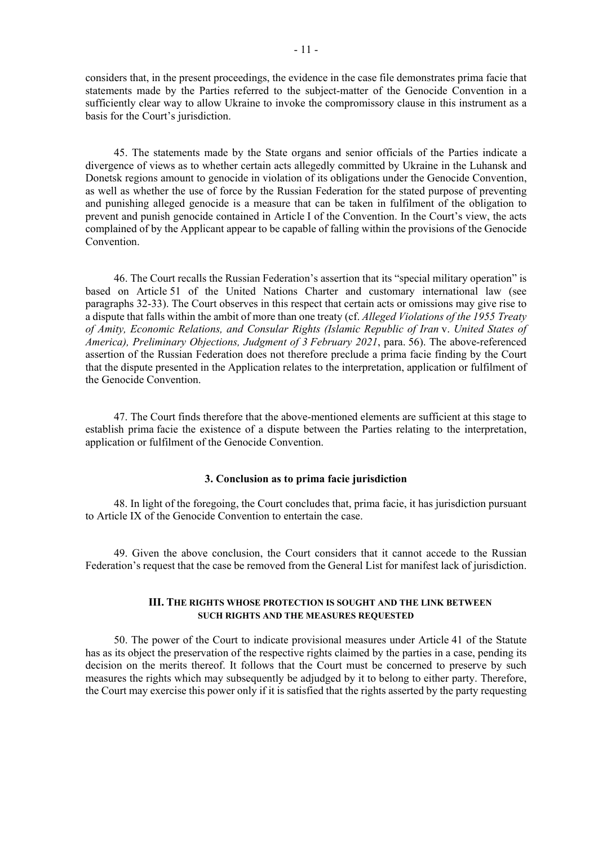considers that, in the present proceedings, the evidence in the case file demonstrates prima facie that statements made by the Parties referred to the subject-matter of the Genocide Convention in a sufficiently clear way to allow Ukraine to invoke the compromissory clause in this instrument as a basis for the Court's jurisdiction.

45. The statements made by the State organs and senior officials of the Parties indicate a divergence of views as to whether certain acts allegedly committed by Ukraine in the Luhansk and Donetsk regions amount to genocide in violation of its obligations under the Genocide Convention, as well as whether the use of force by the Russian Federation for the stated purpose of preventing and punishing alleged genocide is a measure that can be taken in fulfilment of the obligation to prevent and punish genocide contained in Article I of the Convention. In the Court's view, the acts complained of by the Applicant appear to be capable of falling within the provisions of the Genocide Convention.

46. The Court recalls the Russian Federation's assertion that its "special military operation" is based on Article 51 of the United Nations Charter and customary international law (see paragraphs 32-33). The Court observes in this respect that certain acts or omissions may give rise to a dispute that falls within the ambit of more than one treaty (cf. *Alleged Violations of the 1955 Treaty of Amity, Economic Relations, and Consular Rights (Islamic Republic of Iran* v. *United States of America), Preliminary Objections, Judgment of 3 February 2021*, para. 56). The above-referenced assertion of the Russian Federation does not therefore preclude a prima facie finding by the Court that the dispute presented in the Application relates to the interpretation, application or fulfilment of the Genocide Convention.

47. The Court finds therefore that the above-mentioned elements are sufficient at this stage to establish prima facie the existence of a dispute between the Parties relating to the interpretation, application or fulfilment of the Genocide Convention.

#### **3. Conclusion as to prima facie jurisdiction**

48. In light of the foregoing, the Court concludes that, prima facie, it has jurisdiction pursuant to Article IX of the Genocide Convention to entertain the case.

49. Given the above conclusion, the Court considers that it cannot accede to the Russian Federation's request that the case be removed from the General List for manifest lack of jurisdiction.

#### **III. THE RIGHTS WHOSE PROTECTION IS SOUGHT AND THE LINK BETWEEN SUCH RIGHTS AND THE MEASURES REQUESTED**

50. The power of the Court to indicate provisional measures under Article 41 of the Statute has as its object the preservation of the respective rights claimed by the parties in a case, pending its decision on the merits thereof. It follows that the Court must be concerned to preserve by such measures the rights which may subsequently be adjudged by it to belong to either party. Therefore, the Court may exercise this power only if it is satisfied that the rights asserted by the party requesting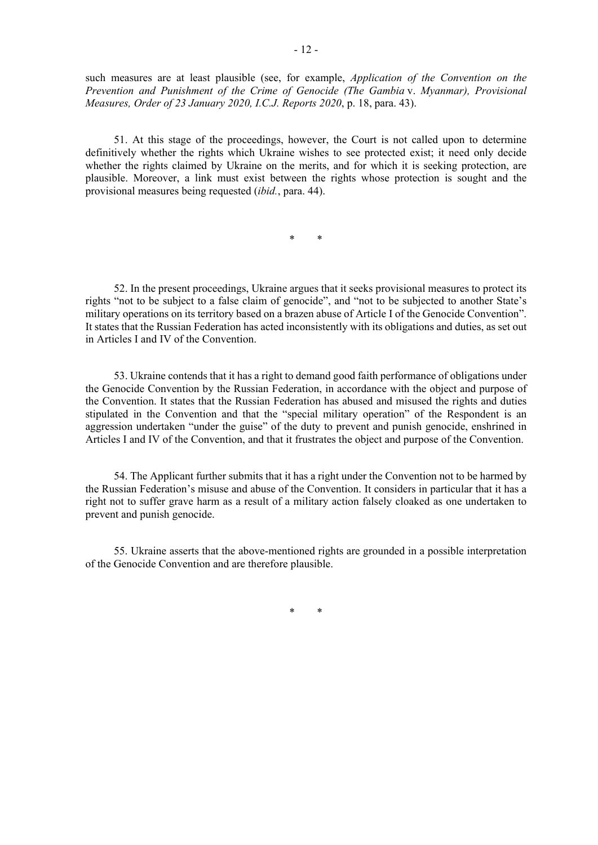such measures are at least plausible (see, for example, *Application of the Convention on the Prevention and Punishment of the Crime of Genocide (The Gambia* v. *Myanmar), Provisional Measures, Order of 23 January 2020, I.C.J. Reports 2020*, p. 18, para. 43).

51. At this stage of the proceedings, however, the Court is not called upon to determine definitively whether the rights which Ukraine wishes to see protected exist; it need only decide whether the rights claimed by Ukraine on the merits, and for which it is seeking protection, are plausible. Moreover, a link must exist between the rights whose protection is sought and the provisional measures being requested (*ibid.*, para. 44).

\* \*

52. In the present proceedings, Ukraine argues that it seeks provisional measures to protect its rights "not to be subject to a false claim of genocide", and "not to be subjected to another State's military operations on its territory based on a brazen abuse of Article I of the Genocide Convention". It states that the Russian Federation has acted inconsistently with its obligations and duties, as set out in Articles I and IV of the Convention.

53. Ukraine contends that it has a right to demand good faith performance of obligations under the Genocide Convention by the Russian Federation, in accordance with the object and purpose of the Convention. It states that the Russian Federation has abused and misused the rights and duties stipulated in the Convention and that the "special military operation" of the Respondent is an aggression undertaken "under the guise" of the duty to prevent and punish genocide, enshrined in Articles I and IV of the Convention, and that it frustrates the object and purpose of the Convention.

54. The Applicant further submits that it has a right under the Convention not to be harmed by the Russian Federation's misuse and abuse of the Convention. It considers in particular that it has a right not to suffer grave harm as a result of a military action falsely cloaked as one undertaken to prevent and punish genocide.

55. Ukraine asserts that the above-mentioned rights are grounded in a possible interpretation of the Genocide Convention and are therefore plausible.

\* \*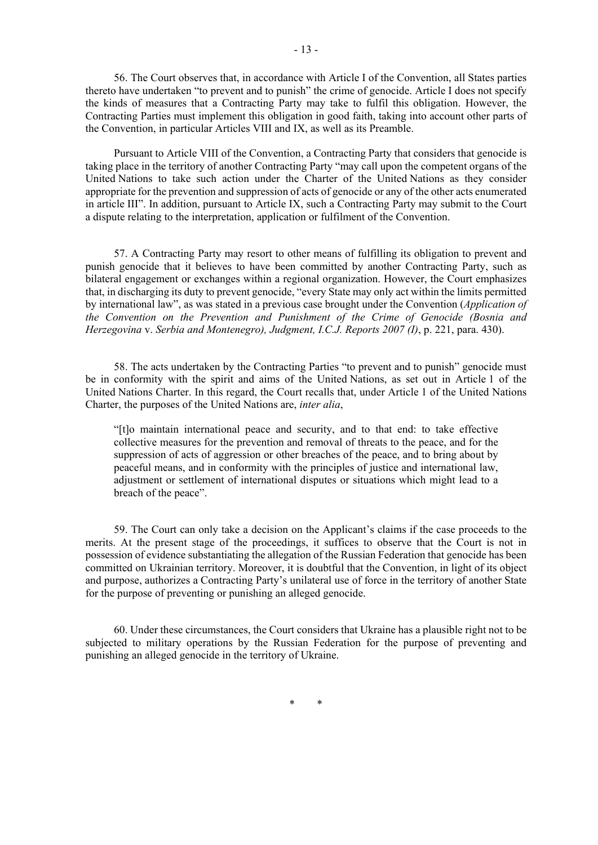56. The Court observes that, in accordance with Article I of the Convention, all States parties thereto have undertaken "to prevent and to punish" the crime of genocide. Article I does not specify the kinds of measures that a Contracting Party may take to fulfil this obligation. However, the Contracting Parties must implement this obligation in good faith, taking into account other parts of the Convention, in particular Articles VIII and IX, as well as its Preamble.

Pursuant to Article VIII of the Convention, a Contracting Party that considers that genocide is taking place in the territory of another Contracting Party "may call upon the competent organs of the United Nations to take such action under the Charter of the United Nations as they consider appropriate for the prevention and suppression of acts of genocide or any of the other acts enumerated in article III". In addition, pursuant to Article IX, such a Contracting Party may submit to the Court a dispute relating to the interpretation, application or fulfilment of the Convention.

57. A Contracting Party may resort to other means of fulfilling its obligation to prevent and punish genocide that it believes to have been committed by another Contracting Party, such as bilateral engagement or exchanges within a regional organization. However, the Court emphasizes that, in discharging its duty to prevent genocide, "every State may only act within the limits permitted by international law", as was stated in a previous case brought under the Convention (*Application of the Convention on the Prevention and Punishment of the Crime of Genocide (Bosnia and Herzegovina* v. *Serbia and Montenegro), Judgment, I.C.J. Reports 2007 (I)*, p. 221, para. 430).

58. The acts undertaken by the Contracting Parties "to prevent and to punish" genocide must be in conformity with the spirit and aims of the United Nations, as set out in Article 1 of the United Nations Charter. In this regard, the Court recalls that, under Article 1 of the United Nations Charter, the purposes of the United Nations are, *inter alia*,

"[t]o maintain international peace and security, and to that end: to take effective collective measures for the prevention and removal of threats to the peace, and for the suppression of acts of aggression or other breaches of the peace, and to bring about by peaceful means, and in conformity with the principles of justice and international law, adjustment or settlement of international disputes or situations which might lead to a breach of the peace".

59. The Court can only take a decision on the Applicant's claims if the case proceeds to the merits. At the present stage of the proceedings, it suffices to observe that the Court is not in possession of evidence substantiating the allegation of the Russian Federation that genocide has been committed on Ukrainian territory. Moreover, it is doubtful that the Convention, in light of its object and purpose, authorizes a Contracting Party's unilateral use of force in the territory of another State for the purpose of preventing or punishing an alleged genocide.

60. Under these circumstances, the Court considers that Ukraine has a plausible right not to be subjected to military operations by the Russian Federation for the purpose of preventing and punishing an alleged genocide in the territory of Ukraine.

\* \*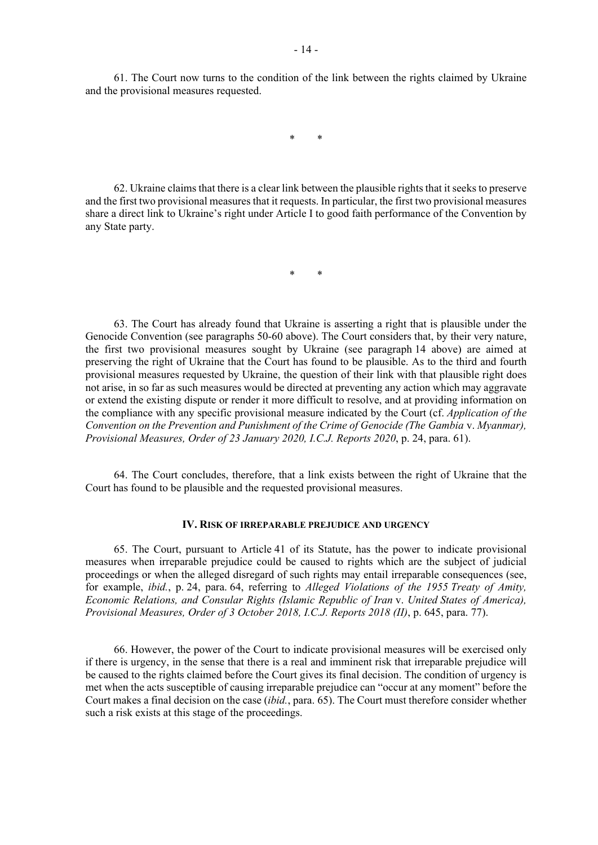61. The Court now turns to the condition of the link between the rights claimed by Ukraine and the provisional measures requested.

\* \*

62. Ukraine claims that there is a clear link between the plausible rights that it seeks to preserve and the first two provisional measures that it requests. In particular, the first two provisional measures share a direct link to Ukraine's right under Article I to good faith performance of the Convention by any State party.

\* \*

63. The Court has already found that Ukraine is asserting a right that is plausible under the Genocide Convention (see paragraphs 50-60 above). The Court considers that, by their very nature, the first two provisional measures sought by Ukraine (see paragraph 14 above) are aimed at preserving the right of Ukraine that the Court has found to be plausible. As to the third and fourth provisional measures requested by Ukraine, the question of their link with that plausible right does not arise, in so far as such measures would be directed at preventing any action which may aggravate or extend the existing dispute or render it more difficult to resolve, and at providing information on the compliance with any specific provisional measure indicated by the Court (cf. *Application of the Convention on the Prevention and Punishment of the Crime of Genocide (The Gambia* v. *Myanmar), Provisional Measures, Order of 23 January 2020, I.C.J. Reports 2020*, p. 24, para. 61).

64. The Court concludes, therefore, that a link exists between the right of Ukraine that the Court has found to be plausible and the requested provisional measures.

### **IV. RISK OF IRREPARABLE PREJUDICE AND URGENCY**

65. The Court, pursuant to Article 41 of its Statute, has the power to indicate provisional measures when irreparable prejudice could be caused to rights which are the subject of judicial proceedings or when the alleged disregard of such rights may entail irreparable consequences (see, for example, *ibid.*, p. 24, para. 64, referring to *Alleged Violations of the 1955 Treaty of Amity, Economic Relations, and Consular Rights (Islamic Republic of Iran* v. *United States of America), Provisional Measures, Order of 3 October 2018, I.C.J. Reports 2018 (II)*, p. 645, para. 77).

66. However, the power of the Court to indicate provisional measures will be exercised only if there is urgency, in the sense that there is a real and imminent risk that irreparable prejudice will be caused to the rights claimed before the Court gives its final decision. The condition of urgency is met when the acts susceptible of causing irreparable prejudice can "occur at any moment" before the Court makes a final decision on the case (*ibid.*, para. 65). The Court must therefore consider whether such a risk exists at this stage of the proceedings.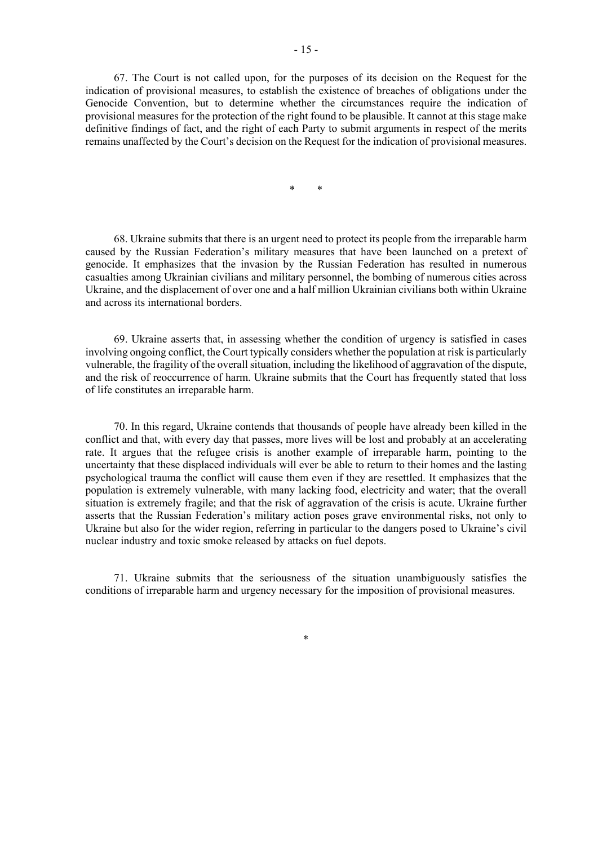67. The Court is not called upon, for the purposes of its decision on the Request for the indication of provisional measures, to establish the existence of breaches of obligations under the Genocide Convention, but to determine whether the circumstances require the indication of provisional measures for the protection of the right found to be plausible. It cannot at this stage make definitive findings of fact, and the right of each Party to submit arguments in respect of the merits remains unaffected by the Court's decision on the Request for the indication of provisional measures.

\* \*

68. Ukraine submits that there is an urgent need to protect its people from the irreparable harm caused by the Russian Federation's military measures that have been launched on a pretext of genocide. It emphasizes that the invasion by the Russian Federation has resulted in numerous casualties among Ukrainian civilians and military personnel, the bombing of numerous cities across Ukraine, and the displacement of over one and a half million Ukrainian civilians both within Ukraine and across its international borders.

69. Ukraine asserts that, in assessing whether the condition of urgency is satisfied in cases involving ongoing conflict, the Court typically considers whether the population at risk is particularly vulnerable, the fragility of the overall situation, including the likelihood of aggravation of the dispute, and the risk of reoccurrence of harm. Ukraine submits that the Court has frequently stated that loss of life constitutes an irreparable harm.

70. In this regard, Ukraine contends that thousands of people have already been killed in the conflict and that, with every day that passes, more lives will be lost and probably at an accelerating rate. It argues that the refugee crisis is another example of irreparable harm, pointing to the uncertainty that these displaced individuals will ever be able to return to their homes and the lasting psychological trauma the conflict will cause them even if they are resettled. It emphasizes that the population is extremely vulnerable, with many lacking food, electricity and water; that the overall situation is extremely fragile; and that the risk of aggravation of the crisis is acute. Ukraine further asserts that the Russian Federation's military action poses grave environmental risks, not only to Ukraine but also for the wider region, referring in particular to the dangers posed to Ukraine's civil nuclear industry and toxic smoke released by attacks on fuel depots.

71. Ukraine submits that the seriousness of the situation unambiguously satisfies the conditions of irreparable harm and urgency necessary for the imposition of provisional measures.

\*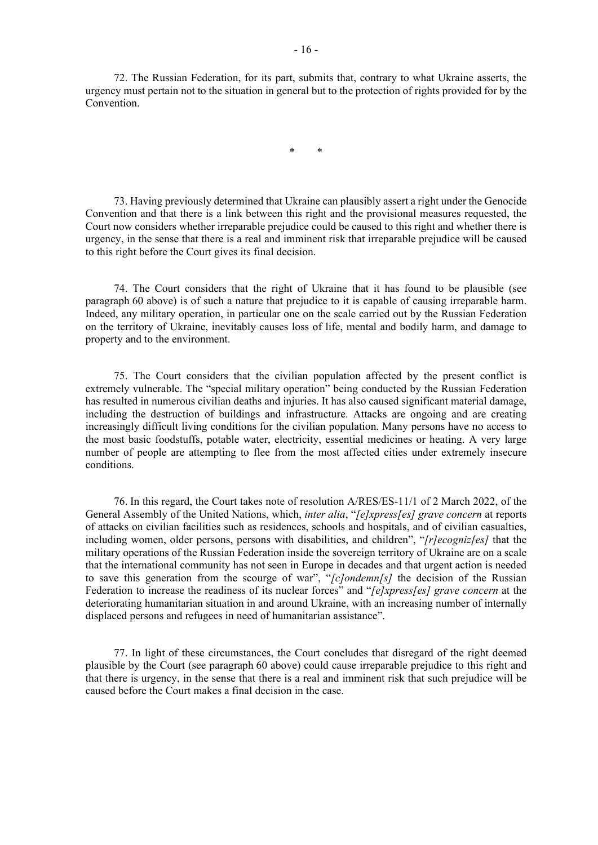72. The Russian Federation, for its part, submits that, contrary to what Ukraine asserts, the urgency must pertain not to the situation in general but to the protection of rights provided for by the Convention.

\* \*

73. Having previously determined that Ukraine can plausibly assert a right under the Genocide Convention and that there is a link between this right and the provisional measures requested, the Court now considers whether irreparable prejudice could be caused to this right and whether there is urgency, in the sense that there is a real and imminent risk that irreparable prejudice will be caused to this right before the Court gives its final decision.

74. The Court considers that the right of Ukraine that it has found to be plausible (see paragraph 60 above) is of such a nature that prejudice to it is capable of causing irreparable harm. Indeed, any military operation, in particular one on the scale carried out by the Russian Federation on the territory of Ukraine, inevitably causes loss of life, mental and bodily harm, and damage to property and to the environment.

75. The Court considers that the civilian population affected by the present conflict is extremely vulnerable. The "special military operation" being conducted by the Russian Federation has resulted in numerous civilian deaths and injuries. It has also caused significant material damage, including the destruction of buildings and infrastructure. Attacks are ongoing and are creating increasingly difficult living conditions for the civilian population. Many persons have no access to the most basic foodstuffs, potable water, electricity, essential medicines or heating. A very large number of people are attempting to flee from the most affected cities under extremely insecure conditions.

76. In this regard, the Court takes note of resolution A/RES/ES-11/1 of 2 March 2022, of the General Assembly of the United Nations, which, *inter alia*, "*[e]xpress[es] grave concern* at reports of attacks on civilian facilities such as residences, schools and hospitals, and of civilian casualties, including women, older persons, persons with disabilities, and children", "*[r]ecogniz[es]* that the military operations of the Russian Federation inside the sovereign territory of Ukraine are on a scale that the international community has not seen in Europe in decades and that urgent action is needed to save this generation from the scourge of war", "*[c]ondemn[s]* the decision of the Russian Federation to increase the readiness of its nuclear forces" and "*[e]xpress[es] grave concern* at the deteriorating humanitarian situation in and around Ukraine, with an increasing number of internally displaced persons and refugees in need of humanitarian assistance".

77. In light of these circumstances, the Court concludes that disregard of the right deemed plausible by the Court (see paragraph 60 above) could cause irreparable prejudice to this right and that there is urgency, in the sense that there is a real and imminent risk that such prejudice will be caused before the Court makes a final decision in the case.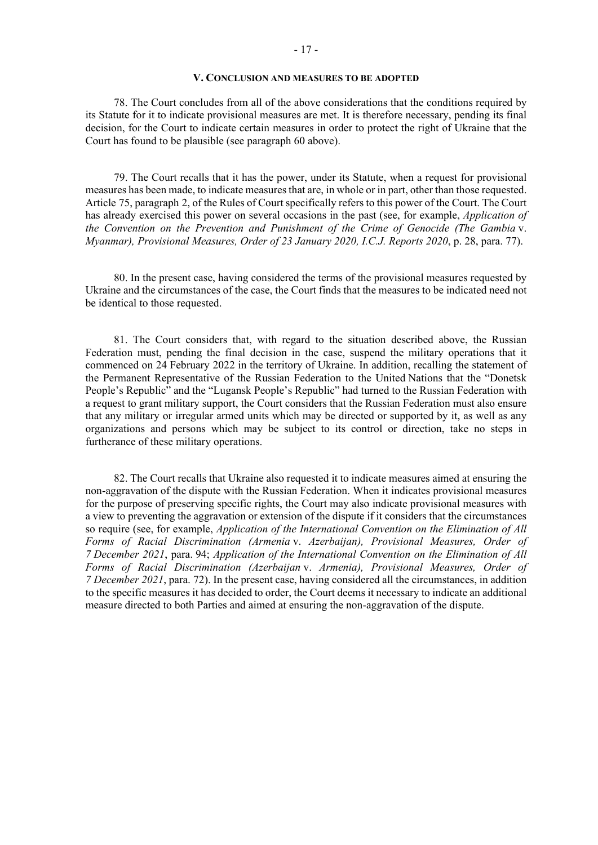#### **V. CONCLUSION AND MEASURES TO BE ADOPTED**

78. The Court concludes from all of the above considerations that the conditions required by its Statute for it to indicate provisional measures are met. It is therefore necessary, pending its final decision, for the Court to indicate certain measures in order to protect the right of Ukraine that the Court has found to be plausible (see paragraph 60 above).

79. The Court recalls that it has the power, under its Statute, when a request for provisional measures has been made, to indicate measures that are, in whole or in part, other than those requested. Article 75, paragraph 2, of the Rules of Court specifically refers to this power of the Court. The Court has already exercised this power on several occasions in the past (see, for example, *Application of the Convention on the Prevention and Punishment of the Crime of Genocide (The Gambia* v. *Myanmar), Provisional Measures, Order of 23 January 2020, I.C.J. Reports 2020*, p. 28, para. 77).

80. In the present case, having considered the terms of the provisional measures requested by Ukraine and the circumstances of the case, the Court finds that the measures to be indicated need not be identical to those requested.

81. The Court considers that, with regard to the situation described above, the Russian Federation must, pending the final decision in the case, suspend the military operations that it commenced on 24 February 2022 in the territory of Ukraine. In addition, recalling the statement of the Permanent Representative of the Russian Federation to the United Nations that the "Donetsk People's Republic<sup>"</sup> and the "Lugansk People's Republic" had turned to the Russian Federation with a request to grant military support, the Court considers that the Russian Federation must also ensure that any military or irregular armed units which may be directed or supported by it, as well as any organizations and persons which may be subject to its control or direction, take no steps in furtherance of these military operations.

82. The Court recalls that Ukraine also requested it to indicate measures aimed at ensuring the non-aggravation of the dispute with the Russian Federation. When it indicates provisional measures for the purpose of preserving specific rights, the Court may also indicate provisional measures with a view to preventing the aggravation or extension of the dispute if it considers that the circumstances so require (see, for example, *Application of the International Convention on the Elimination of All Forms of Racial Discrimination (Armenia* v. *Azerbaijan), Provisional Measures, Order of 7 December 2021*, para. 94; *Application of the International Convention on the Elimination of All Forms of Racial Discrimination (Azerbaijan* v. *Armenia), Provisional Measures, Order of 7 December 2021*, para. 72). In the present case, having considered all the circumstances, in addition to the specific measures it has decided to order, the Court deems it necessary to indicate an additional measure directed to both Parties and aimed at ensuring the non-aggravation of the dispute.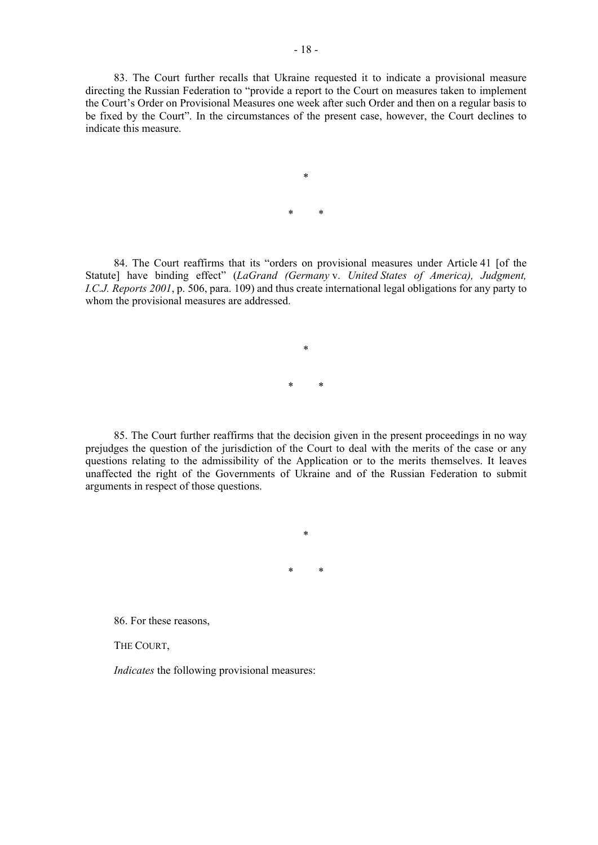83. The Court further recalls that Ukraine requested it to indicate a provisional measure directing the Russian Federation to "provide a report to the Court on measures taken to implement the Court's Order on Provisional Measures one week after such Order and then on a regular basis to be fixed by the Court". In the circumstances of the present case, however, the Court declines to indicate this measure.

> \* \* \*

84. The Court reaffirms that its "orders on provisional measures under Article 41 [of the Statute] have binding effect" (*LaGrand (Germany* v. *United States of America), Judgment, I.C.J. Reports 2001*, p. 506, para. 109) and thus create international legal obligations for any party to whom the provisional measures are addressed.

> \* \* \*

85. The Court further reaffirms that the decision given in the present proceedings in no way prejudges the question of the jurisdiction of the Court to deal with the merits of the case or any questions relating to the admissibility of the Application or to the merits themselves. It leaves unaffected the right of the Governments of Ukraine and of the Russian Federation to submit arguments in respect of those questions.

\* \*

\*

86. For these reasons,

THE COURT,

*Indicates* the following provisional measures: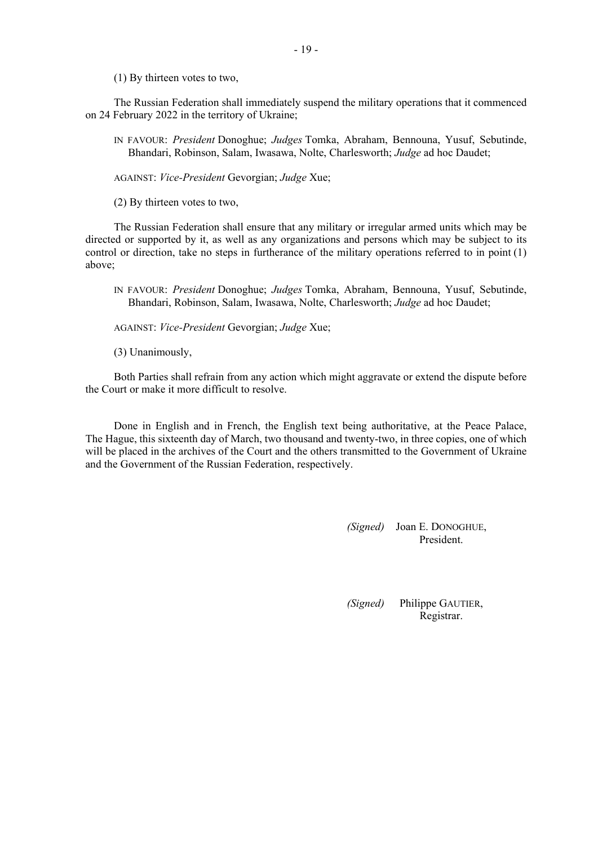(1) By thirteen votes to two,

The Russian Federation shall immediately suspend the military operations that it commenced on 24 February 2022 in the territory of Ukraine;

IN FAVOUR: *President* Donoghue; *Judges* Tomka, Abraham, Bennouna, Yusuf, Sebutinde, Bhandari, Robinson, Salam, Iwasawa, Nolte, Charlesworth; *Judge* ad hoc Daudet;

AGAINST: *Vice-President* Gevorgian; *Judge* Xue;

(2) By thirteen votes to two,

The Russian Federation shall ensure that any military or irregular armed units which may be directed or supported by it, as well as any organizations and persons which may be subject to its control or direction, take no steps in furtherance of the military operations referred to in point (1) above;

IN FAVOUR: *President* Donoghue; *Judges* Tomka, Abraham, Bennouna, Yusuf, Sebutinde, Bhandari, Robinson, Salam, Iwasawa, Nolte, Charlesworth; *Judge* ad hoc Daudet;

AGAINST: *Vice-President* Gevorgian; *Judge* Xue;

(3) Unanimously,

Both Parties shall refrain from any action which might aggravate or extend the dispute before the Court or make it more difficult to resolve.

Done in English and in French, the English text being authoritative, at the Peace Palace, The Hague, this sixteenth day of March, two thousand and twenty-two, in three copies, one of which will be placed in the archives of the Court and the others transmitted to the Government of Ukraine and the Government of the Russian Federation, respectively.

> *(Signed)* Joan E. DONOGHUE, President.

*(Signed)* Philippe GAUTIER, Registrar.